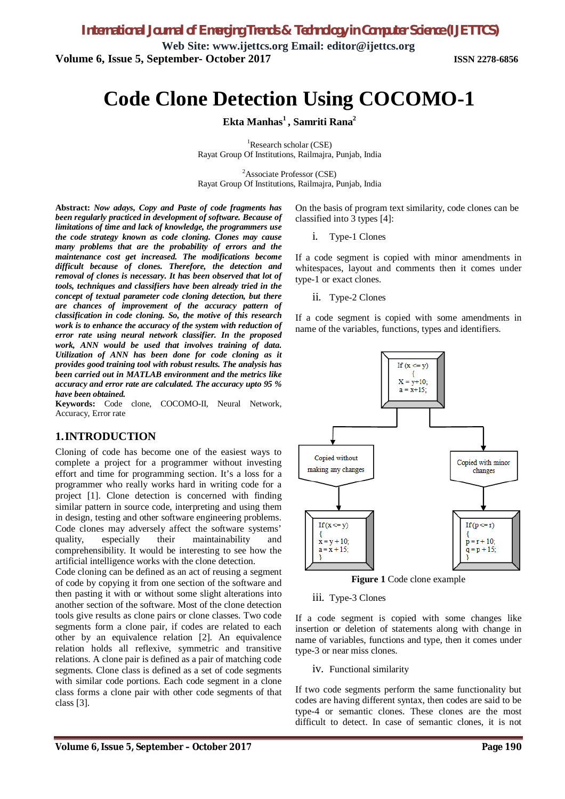**Web Site: [www.ijettcs.org](http://www.ijettcs.org) Email: [editor@ijettcs.org](mailto:editor@ijettcs.org) Volume 6, Issue 5, September- October 2017 ISSN 2278-6856**

# **Code Clone Detection Using COCOMO-1**

**Ekta Manhas<sup>1</sup> , Samriti Rana<sup>2</sup>**

<sup>1</sup>Research scholar (CSE) Rayat Group Of Institutions, Railmajra, Punjab, India

 ${}^{2}$ Associate Professor (CSE) Rayat Group Of Institutions, Railmajra, Punjab, India

**Abstract:** *Now adays, Copy and Paste of code fragments has been regularly practiced in development of software. Because of limitations of time and lack of knowledge, the programmers use the code strategy known as code cloning. Clones may cause many problems that are the probability of errors and the maintenance cost get increased. The modifications become difficult because of clones. Therefore, the detection and removal of clones is necessary. It has been observed that lot of tools, techniques and classifiers have been already tried in the concept of textual parameter code cloning detection, but there are chances of improvement of the accuracy pattern of classification in code cloning. So, the motive of this research work is to enhance the accuracy of the system with reduction of error rate using neural network classifier. In the proposed work, ANN would be used that involves training of data. Utilization of ANN has been done for code cloning as it provides good training tool with robust results. The analysis has been carried out in MATLAB environment and the metrics like accuracy and error rate are calculated. The accuracy upto 95 % have been obtained.*

**Keywords:** Code clone, COCOMO-II, Neural Network, Accuracy, Error rate

### **1.INTRODUCTION**

Cloning of code has become one of the easiest ways to complete a project for a programmer without investing effort and time for programming section. It's a loss for a programmer who really works hard in writing code for a project [1]. Clone detection is concerned with finding similar pattern in source code, interpreting and using them in design, testing and other software engineering problems. Code clones may adversely affect the software systems' quality, especially their maintainability and comprehensibility. It would be interesting to see how the artificial intelligence works with the clone detection.

Code cloning can be defined as an act of reusing a segment of code by copying it from one section of the software and then pasting it with or without some slight alterations into another section of the software. Most of the clone detection tools give results as clone pairs or clone classes. Two code segments form a clone pair, if codes are related to each other by an equivalence relation [2]. An equivalence relation holds all reflexive, symmetric and transitive relations. A clone pair is defined as a pair of matching code segments. Clone class is defined as a set of code segments with similar code portions. Each code segment in a clone class forms a clone pair with other code segments of that class [3].

On the basis of program text similarity, code clones can be classified into 3 types [4]:

i. Type-1 Clones

If a code segment is copied with minor amendments in whitespaces, layout and comments then it comes under type-1 or exact clones.

ii. Type-2 Clones

If a code segment is copied with some amendments in name of the variables, functions, types and identifiers.



**Figure 1** Code clone example

#### iii. Type-3 Clones

If a code segment is copied with some changes like insertion or deletion of statements along with change in name of variables, functions and type, then it comes under type-3 or near miss clones.

### iv. Functional similarity

If two code segments perform the same functionality but codes are having different syntax, then codes are said to be type-4 or semantic clones. These clones are the most difficult to detect. In case of semantic clones, it is not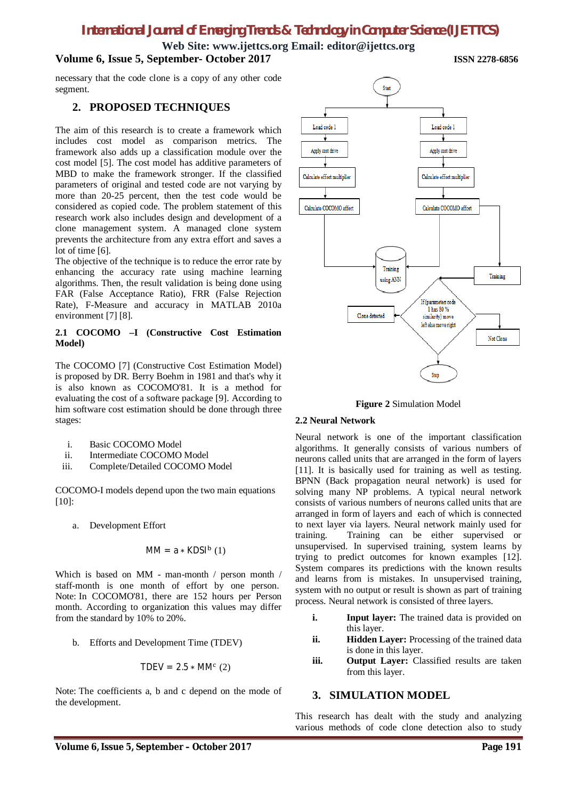**Web Site: [www.ijettcs.org](http://www.ijettcs.org) Email: [editor@ijettcs.org](mailto:editor@ijettcs.org)**

### **Volume 6, Issue 5, September- October 2017 ISSN 2278-6856**

necessary that the code clone is a copy of any other code segment.

### **2. PROPOSED TECHNIQUES**

The aim of this research is to create a framework which includes cost model as comparison metrics. The framework also adds up a classification module over the cost model [5]. The cost model has additive parameters of MBD to make the framework stronger. If the classified parameters of original and tested code are not varying by more than 20-25 percent, then the test code would be considered as copied code. The problem statement of this research work also includes design and development of a clone management system. A managed clone system prevents the architecture from any extra effort and saves a lot of time [6].

The objective of the technique is to reduce the error rate by enhancing the accuracy rate using machine learning algorithms. Then, the result validation is being done using FAR (False Acceptance Ratio), FRR (False Rejection Rate), F-Measure and accuracy in MATLAB 2010a environment [7] [8].

### **2.1 COCOMO –I (Constructive Cost Estimation Model)**

The COCOMO [7] (Constructive Cost Estimation Model) is proposed by DR. Berry Boehm in 1981 and that's why it is also known as COCOMO'81. It is a method for evaluating the cost of a software package [9]. According to him software cost estimation should be done through three stages:

- i. Basic COCOMO Model
- ii. Intermediate COCOMO Model
- iii. Complete/Detailed COCOMO Model

COCOMO-I models depend upon the two main equations [10]:

a. Development Effort

$$
MM = a * KDSIb (1)
$$

Which is based on MM - man-month / person month / staff-month is one month of effort by one person. Note: In COCOMO'81, there are 152 hours per Person month. According to organization this values may differ from the standard by 10% to 20%.

b. Efforts and Development Time (TDEV)

$$
TDEV = 2.5 * MMc (2)
$$

Note: The coefficients a, b and c depend on the mode of the development.



**Figure 2** Simulation Model

### **2.2 Neural Network**

Neural network is one of the important classification algorithms. It generally consists of various numbers of neurons called units that are arranged in the form of layers [11]. It is basically used for training as well as testing. BPNN (Back propagation neural network) is used for solving many NP problems. A typical neural network consists of various numbers of neurons called units that are arranged in form of layers and each of which is connected to next layer via layers. Neural network mainly used for training. Training can be either supervised or unsupervised. In supervised training, system learns by trying to predict outcomes for known examples [12]. System compares its predictions with the known results and learns from is mistakes. In unsupervised training, system with no output or result is shown as part of training process. Neural network is consisted of three layers.

- **i. Input layer:** The trained data is provided on this layer.
- **ii. Hidden Layer:** Processing of the trained data is done in this layer.
- **iii. Output Layer:** Classified results are taken from this layer.

### **3. SIMULATION MODEL**

This research has dealt with the study and analyzing various methods of code clone detection also to study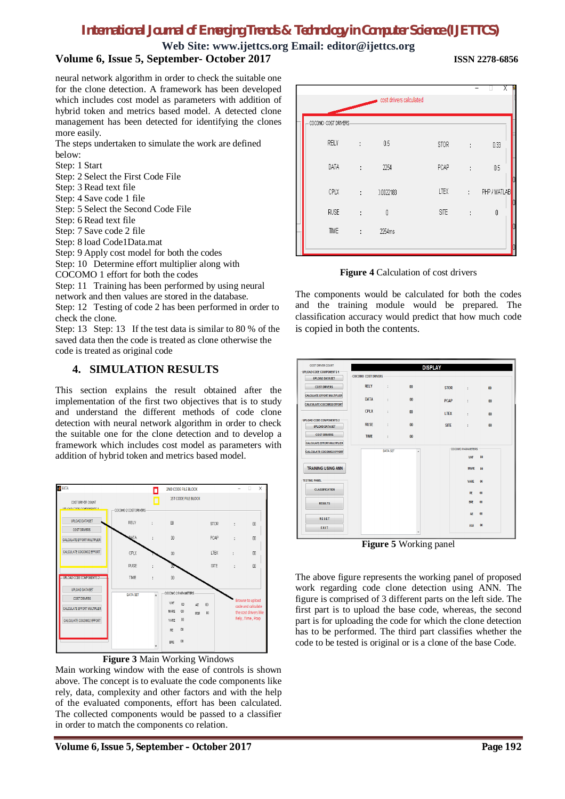## **Web Site: [www.ijettcs.org](http://www.ijettcs.org) Email: [editor@ijettcs.org](mailto:editor@ijettcs.org)**

### **Volume 6, Issue 5, September- October 2017 ISSN 2278-6856**

neural network algorithm in order to check the suitable one for the clone detection. A framework has been developed which includes cost model as parameters with addition of hybrid token and metrics based model. A detected clone management has been detected for identifying the clones more easily.

The steps undertaken to simulate the work are defined below:

Step: 1 Start

Step: 2 Select the First Code File

Step: 3 Read text file

Step: 4 Save code 1 file

Step: 5 Select the Second Code File

Step: 6 Read text file

Step: 7 Save code 2 file

Step: 8 load Code1Data.mat

Step: 9 Apply cost model for both the codes

Step: 10 Determine effort multiplier along with

COCOMO 1 effort for both the codes

Step: 11 Training has been performed by using neural network and then values are stored in the database.

Step: 12 Testing of code 2 has been performed in order to check the clone.

Step: 13 Step: 13 If the test data is similar to 80 % of the saved data then the code is treated as clone otherwise the code is treated as original code

### **4. SIMULATION RESULTS**

This section explains the result obtained after the implementation of the first two objectives that is to study and understand the different methods of code clone detection with neural network algorithm in order to check the suitable one for the clone detection and to develop a framework which includes cost model as parameters with addition of hybrid token and metrics based model.



### **Figure 3** Main Working Windows

Main working window with the ease of controls is shown above. The concept is to evaluate the code components like rely, data, complexity and other factors and with the help of the evaluated components, effort has been calculated. The collected components would be passed to a classifier in order to match the components co relation.



**Figure 4** Calculation of cost drivers

The components would be calculated for both the codes and the training module would be prepared. The classification accuracy would predict that how much code is copied in both the contents.



**Figure 5** Working panel

The above figure represents the working panel of proposed work regarding code clone detection using ANN. The figure is comprised of 3 different parts on the left side. The first part is to upload the base code, whereas, the second part is for uploading the code for which the clone detection has to be performed. The third part classifies whether the code to be tested is original or is a clone of the base Code.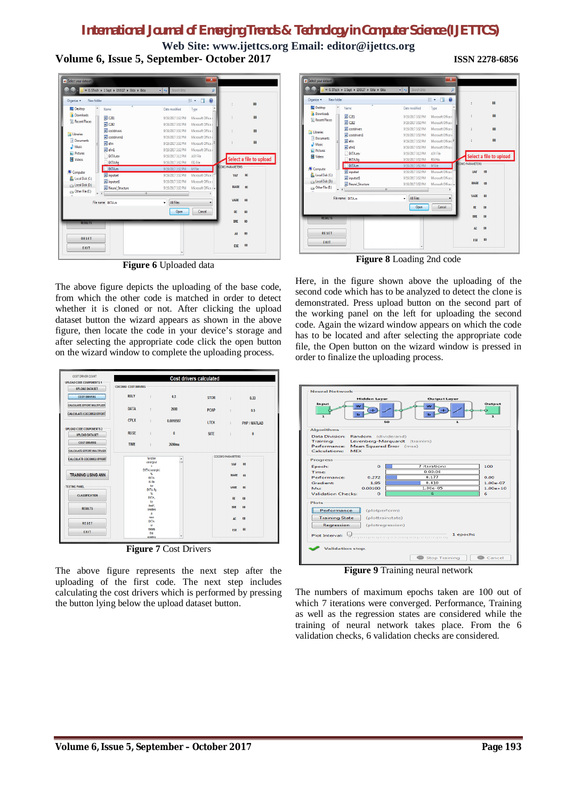**Web Site: [www.ijettcs.org](http://www.ijettcs.org) Email: [editor@ijettcs.org](mailto:editor@ijettcs.org) Volume 6, Issue 5, September- October 2017 ISSN 2278-6856**

| Select your dataset           |                                             |                        | $\mathbf{x}$             |                        |                         |
|-------------------------------|---------------------------------------------|------------------------|--------------------------|------------------------|-------------------------|
|                               | « 0. STech > 1 Sept > 19.9.17 > Ekta > Ekta | Search Ekta<br>v   49. | ۹                        |                        |                         |
| Organize v<br>New folder      | z                                           |                        | $\mathbf{Q}$<br>E .<br>m |                        | 00                      |
| Desktop                       | Á<br>Name                                   | Date modified          | Type                     |                        |                         |
| <b>L</b> Downloads            | T C2E1                                      | 9/19/2017 3:52 PM      | Microsoft Office         |                        | 00                      |
| Recent Places                 | 园 C2E2                                      | 9/19/2017 3:52 PM      | Microsoft Office         |                        |                         |
|                               | costdrivers                                 | 9/19/2017 3:52 PM      | Microsoft Office /       |                        | 00                      |
| <b>Libraries</b><br>Documents | costdrivers1<br>還                           | 9/19/2017 3:52 PM      | Microsoft Office         |                        |                         |
| Music                         | efm<br>E                                    | 9/19/2017 3:52 PM      | Microsoft Office         |                        | 00                      |
| <b>Pictures</b>               | $\overline{\phantom{a}}$ efm1               | 9/19/2017 3:52 PM      | Microsoft Office         |                        |                         |
| <b>N</b> Videos               | <b>EKTA.asv</b>                             | 9/19/2017 3:12 PM      | <b>ASV File</b>          |                        | Select a file to upload |
|                               | <b>EKTA.fig</b>                             | 9/19/2017 3:52 PM      | <b>FIG File</b>          |                        |                         |
| Computer                      | EKTA.m                                      | 9/19/2017 3:52 PM      | M File                   | <b>COMO PARAMETERS</b> |                         |
| Local Disk (C:)               | inputset                                    | 9/19/2017 3:52 PM      | Microsoft Office         | VAF                    | 00                      |
| Local Disk (D:)               | inputset1                                   | 9/19/2017 3:52 PM      | Microsoft Office         |                        |                         |
| Other File (E:)               | Neural Structure                            | 9/19/2017 3:52 PM      | Microsoft Office / +     | <b>MARE</b>            | 00                      |
|                               | $\epsilon$<br>m                             |                        |                          |                        |                         |
|                               | File name: EKTA.m                           | All Files<br>٠         |                          | VARE                   | 00                      |
|                               |                                             | Open                   | Cancel                   | RE                     | 00                      |
| <b>RESULTS</b>                |                                             |                        |                          | <b>BRE</b>             | 00                      |
|                               |                                             |                        |                          |                        |                         |
|                               |                                             |                        |                          | AE                     | $\boldsymbol{00}$       |
| <b>RESET</b>                  |                                             |                        |                          |                        |                         |
| EXIT                          |                                             |                        |                          | ESE                    | 00                      |
|                               |                                             |                        |                          |                        |                         |

**Figure 6** Uploaded data

The above figure depicts the uploading of the base code, from which the other code is matched in order to detect whether it is cloned or not. After clicking the upload dataset button the wizard appears as shown in the above figure, then locate the code in your device's storage and after selecting the appropriate code click the open button on the wizard window to complete the uploading process.

| COST DRIVER COUNT                                        |                            |                     |                         | <b>Cost drivers calculated</b> |                          |                       |
|----------------------------------------------------------|----------------------------|---------------------|-------------------------|--------------------------------|--------------------------|-----------------------|
| <b>UPLOAD CODE COMPONENTS 1</b>                          |                            |                     |                         |                                |                          |                       |
| <b>UPLOAD DATASET</b>                                    | <b>COCOMO COST DRIVERS</b> |                     |                         |                                |                          |                       |
| <b>COST DRIVERS</b>                                      | <b>RELY</b>                | ł                   | 0.5                     | <b>STOR</b>                    | ÷                        | 0.33                  |
| <b>CALCULATE EFFORT MULTIPLIER</b>                       | <b>DATA</b>                | ÷                   | 2690                    | <b>PCAP</b>                    | ÷                        | 0.5                   |
| <b>CALCULATE COCOMO2 EFFORT</b>                          | <b>CPLX</b>                | ŕ.                  | 0.0018587               | <b>LTEX</b>                    |                          |                       |
|                                                          |                            |                     |                         |                                | <b>The Control</b>       | <b>PHP / MATLAB</b>   |
| <b>UPLOAD CODE COMPONENTS 2</b><br><b>UPLOAD DATASET</b> | <b>RUSE</b>                | ÷                   | $\mathbf{0}$            | <b>SITE</b>                    | ÷                        | $\mathbf{0}$          |
| <b>COST DRIVERS</b>                                      | <b>TIME</b>                | ÷.                  | 2690ms                  |                                |                          |                       |
| <b>CALCULATE EFFORT MULTIPLIER</b>                       |                            |                     |                         |                                |                          |                       |
| <b>CALCULATE COCOMO2 EFFORT</b>                          |                            | function            | ä                       |                                | <b>COCOMO PARAMETERS</b> |                       |
|                                                          |                            | vararoout<br>٠      |                         |                                | VAF                      | 00                    |
|                                                          |                            | EKTA(varargin)      |                         |                                |                          |                       |
| <b>TRAINING USING ANN</b>                                |                            | %<br><b>EKTA</b>    |                         |                                | <b>MARE</b>              | 00                    |
| <b>TESTING PANEL</b>                                     |                            | M-file<br>for       |                         |                                |                          |                       |
|                                                          |                            | EKTA fo             |                         |                                | VARF                     | 00                    |
| <b>CLASSIFICATION</b>                                    |                            | ×.<br><b>EKTA</b>   |                         |                                | <b>RF</b>                | 00                    |
|                                                          |                            | by                  |                         |                                |                          |                       |
| <b>RESULTS</b>                                           |                            | itself.<br>creates  |                         |                                | <b>BRE</b>               | 00                    |
|                                                          |                            | $\mathbf{a}$<br>new |                         |                                |                          |                       |
| <b>RESET</b>                                             |                            | <b>EKTA</b>         |                         |                                | AF                       | 00                    |
|                                                          |                            | $\alpha$<br>raises  |                         |                                | ESE                      | $\boldsymbol{\omega}$ |
| EXIT                                                     |                            | the                 |                         |                                |                          |                       |
|                                                          |                            | existing            |                         |                                |                          |                       |
|                                                          | $\blacksquare$             |                     | $\sim$<br>$\sim$ $\sim$ | ٠                              |                          |                       |

**Figure 7** Cost Drivers

The above figure represents the next step after the uploading of the first code. The next step includes calculating the cost drivers which is performed by pressing the button lying below the upload dataset button.

| New folder<br>Organize v |                                    |                   | $\mathbf{\Theta}$<br>三 日 |                        | 00                      |
|--------------------------|------------------------------------|-------------------|--------------------------|------------------------|-------------------------|
| Desktop<br>A             | Name                               | Date modified     | Type                     |                        |                         |
| <b>Downloads</b>         | 同 C2E1                             | 9/19/2017 3:52 PM | Microsoft Office         |                        | 00                      |
| Recent Places            | 同 C2E2                             | 9/19/2017 3:52 PM | Microsoft Office         |                        |                         |
|                          | <b>El costdrivers</b>              | 9/19/2017 3:52 PM | Microsoft Office         |                        | 00                      |
| Libraries                | costdrivers1                       | 9/19/2017 3:52 PM | Microsoft Office /       |                        |                         |
| Documents<br>Ξ<br>Music  | all efm                            | 9/19/2017 3:52 PM | Microsoft Office         |                        | 00                      |
| $E$ Pictures             | $\overline{m}$ efm1                | 9/19/2017 3:52 PM | Microsoft Office         |                        |                         |
| <b>S</b> Videos          | <b>EKTA</b> asv                    | 9/19/2017 3:12 PM | <b>ASV File</b>          |                        | Select a file to upload |
|                          | <b>EKTA.fig</b>                    | 9/19/2017 3:52 PM | <b>FIG File</b>          | <b>COMO PARAMETERS</b> |                         |
| Computer                 | EKTAm                              | 9/19/2017 3:52 PM | M File                   |                        |                         |
| Local Disk (C:)          | inputset                           | 9/19/2017 3:52 PM | Microsoft Office         | VAF                    | 00                      |
| Local Disk (D:)          | inputset1                          | 9/19/2017 3:52 PM | Microsoft Office         | <b>MARE</b>            | 00                      |
| Other File (E:)          | Neural Structure<br>$\overline{m}$ | 9/19/2017 3:52 PM | Microsoft Office / +     |                        |                         |
|                          |                                    |                   |                          | <b>VARF</b>            | 00                      |
|                          | File name: EKTA.m                  | All Files<br>٠    |                          |                        |                         |
|                          |                                    | Open              | Cancel                   | RE                     | 00                      |
| <b>RESULTS</b>           |                                    |                   |                          | <b>BRE</b>             | $\omega$                |
|                          |                                    |                   |                          |                        |                         |
|                          |                                    |                   |                          | AE                     | $\omega$                |
| <b>RESET</b>             |                                    |                   |                          |                        |                         |

**Figure 8** Loading 2nd code

Here, in the figure shown above the uploading of the second code which has to be analyzed to detect the clone is demonstrated. Press upload button on the second part of the working panel on the left for uploading the second code. Again the wizard window appears on which the code has to be located and after selecting the appropriate code file, the Open button on the wizard window is pressed in order to finalize the uploading process.



**Figure 9** Training neural network

The numbers of maximum epochs taken are 100 out of which 7 iterations were converged. Performance, Training as well as the regression states are considered while the training of neural network takes place. From the 6 validation checks, 6 validation checks are considered.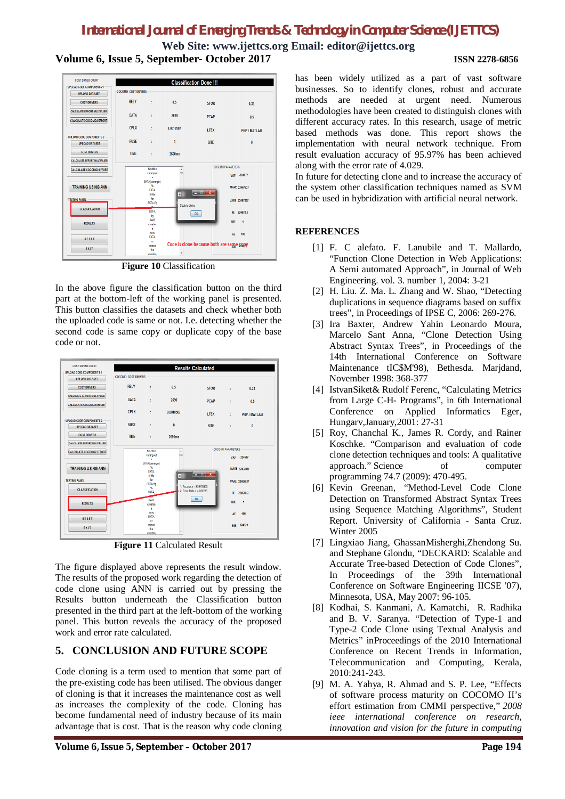**Web Site: [www.ijettcs.org](http://www.ijettcs.org) Email: [editor@ijettcs.org](mailto:editor@ijettcs.org) Volume 6, Issue 5, September- October 2017 ISSN 2278-6856**



**Figure 10** Classification

In the above figure the classification button on the third part at the bottom-left of the working panel is presented. This button classifies the datasets and check whether both the uploaded code is same or not. I.e. detecting whether the second code is same copy or duplicate copy of the base code or not.

| <b>COST DRIVER COUNT</b>                                 |                            |                                                |                         | <b>Results Calculated</b> |            |                |
|----------------------------------------------------------|----------------------------|------------------------------------------------|-------------------------|---------------------------|------------|----------------|
| <b>UPLOAD CODE COMPONENTS 1</b><br><b>UPLOAD DATASET</b> | <b>COCOMO COST DRIVERS</b> |                                                |                         |                           |            |                |
| <b>COST DRIVERS</b>                                      | <b>RFIY</b>                | Ŧ.                                             | 0.5                     | <b>STOR</b>               | ÷          | 0.33           |
| <b>CALCULATE EFFORT MULTIPLIER</b>                       | DATA                       | ř.                                             | 2690                    | <b>PCAP</b>               | ÷          | 0.5            |
| <b>CALCULATE COCOMO2 EFFORT</b>                          | <b>CPLX</b>                | ÷                                              | 0.0018587               | <b>I TFX</b>              | ÷.         | PHP / MATLAB   |
| <b>UPLOAD CODE COMPONENTS 2</b><br><b>UPLOAD DATASET</b> | <b>RUSE</b>                | ÷                                              | $\mathbf{0}$            | <b>SITE</b>               | ÷          | 0              |
| <b>COST DRIVERS</b>                                      | <b>TIME</b>                | ŧ.                                             | 2690ms                  |                           |            |                |
| <b>CALCULATE EFFORT MULTIPLIER</b>                       |                            |                                                |                         |                           |            |                |
| <b>CALCULATE COCOMO2 EFFORT</b>                          |                            | function<br>vararoout<br>$\blacksquare$        | Ä                       | <b>COCOMO PARAMETERS</b>  |            | VAF -224677    |
| <b>TRAINING USING ANN</b>                                |                            | EKTA(varargin)<br>q.<br><b>FKTA</b><br>M. file | $\overline{\mathbf{a}}$ | <b>Realizer X</b>         |            | MARE 22467837  |
| <b>TESTING PANEL</b>                                     |                            | for<br>EKTA fig.<br>$\%$                       |                         | 1. Accuracy = 95.970265   |            | VARE 22467837  |
| <b>CLASSIFICATION</b>                                    |                            | <b>EKTA</b>                                    |                         | 2. Error Rate = 4.029735  |            | RE 224678.3    |
| <b>RESULTS</b>                                           |                            | itself.<br>creates<br>$\blacksquare$           |                         | OK.                       | <b>BRF</b> | $\overline{1}$ |
| <b>RESET</b>                                             |                            | new<br><b>EKTA</b><br>$\alpha$                 |                         |                           | <b>AE</b>  | 100            |
| EXIT                                                     |                            | raises<br>the<br>existing                      |                         |                           |            | ESE 224679     |

**Figure 11** Calculated Result

The figure displayed above represents the result window. The results of the proposed work regarding the detection of code clone using ANN is carried out by pressing the Results button underneath the Classification button presented in the third part at the left-bottom of the working panel. This button reveals the accuracy of the proposed work and error rate calculated.

### **5. CONCLUSION AND FUTURE SCOPE**

Code cloning is a term used to mention that some part of the pre-existing code has been utilised. The obvious danger of cloning is that it increases the maintenance cost as well as increases the complexity of the code. Cloning has become fundamental need of industry because of its main advantage that is cost. That is the reason why code cloning

has been widely utilized as a part of vast software businesses. So to identify clones, robust and accurate methods are needed at urgent need. Numerous methodologies have been created to distinguish clones with different accuracy rates. In this research, usage of metric based methods was done. This report shows the implementation with neural network technique. From result evaluation accuracy of 95.97% has been achieved along with the error rate of 4.029.

In future for detecting clone and to increase the accuracy of the system other classification techniques named as SVM can be used in hybridization with artificial neural network.

### **REFERENCES**

- [1] F. C alefato. F. Lanubile and T. Mallardo, "Function Clone Detection in Web Applications: A Semi automated Approach", in Journal of Web Engineering. vol. 3. number 1, 2004: 3-21
- [2] H. Liu. Z. Ma. L. Zhang and W. Shao, "Detecting duplications in sequence diagrams based on suffix trees", in Proceedings of IPSE C, 2006: 269-276.
- [3] Ira Baxter, Andrew Yahin Leonardo Moura, Marcelo Sant Anna, "Clone Detection Using Abstract Syntax Trees", in Proceedings of the 14th International Conference on Software Maintenance tIC\$M'98), Bethesda. Marjdand, November 1998: 368-377
- [4] IstvanSiket& Rudolf Ferenc, "Calculating Metrics from Large C-H- Programs", in 6th International Conference on Applied Informatics Eger, Hungarv,January,2001: 27-31
- [5] Roy, Chanchal K., James R. Cordy, and Rainer Koschke. "Comparison and evaluation of code clone detection techniques and tools: A qualitative approach." Science of computer programming 74.7 (2009): 470-495.
- [6] Kevin Greenan, "Method-Level Code Clone Detection on Transformed Abstract Syntax Trees using Sequence Matching Algorithms", Student Report. University of California - Santa Cruz. Winter 2005
- [7] Lingxiao Jiang, GhassanMisherghi,Zhendong Su. and Stephane Glondu, "DECKARD: Scalable and Accurate Tree-based Detection of Code Clones", In Proceedings of the 39th International Conference on Software Engineering IICSE '07), Minnesota, USA, May 2007: 96-105.
- [8] Kodhai, S. Kanmani, A. Kamatchi, R. Radhika and B. V. Saranya. "Detection of Type-1 and Type-2 Code Clone using Textual Analysis and Metrics" inProceedings of the 2010 International Conference on Recent Trends in Information, Telecommunication and Computing, Kerala, 2010:241-243.
- [9] M. A. Yahya, R. Ahmad and S. P. Lee, "Effects of software process maturity on COCOMO II's effort estimation from CMMI perspective," *2008 ieee international conference on research, innovation and vision for the future in computing*